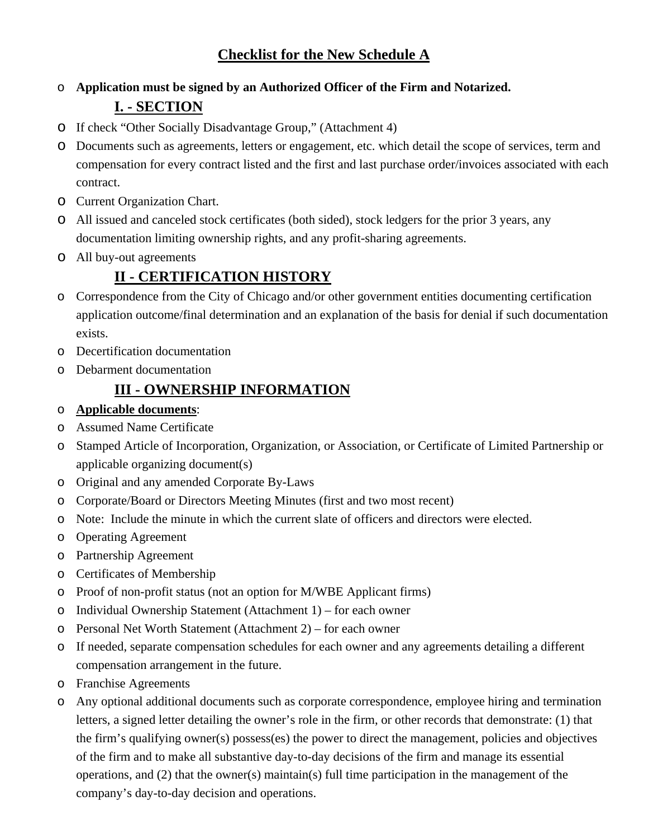# o **Application must be signed by an Authorized Officer of the Firm and Notarized. I. - SECTION**

- o If check "Other Socially Disadvantage Group," (Attachment 4)
- o Documents such as agreements, letters or engagement, etc. which detail the scope of services, term and compensation for every contract listed and the first and last purchase order/invoices associated with each contract.
- o Current Organization Chart.
- o All issued and canceled stock certificates (both sided), stock ledgers for the prior 3 years, any documentation limiting ownership rights, and any profit-sharing agreements.
- o All buy-out agreements

### **II - CERTIFICATION HISTORY**

- o Correspondence from the City of Chicago and/or other government entities documenting certification application outcome/final determination and an explanation of the basis for denial if such documentation exists.
- o Decertification documentation
- o Debarment documentation

### **III - OWNERSHIP INFORMATION**

- o **Applicable documents**:
- o Assumed Name Certificate
- o Stamped Article of Incorporation, Organization, or Association, or Certificate of Limited Partnership or applicable organizing document(s)
- o Original and any amended Corporate By-Laws
- o Corporate/Board or Directors Meeting Minutes (first and two most recent)
- o Note: Include the minute in which the current slate of officers and directors were elected.
- o Operating Agreement
- o Partnership Agreement
- o Certificates of Membership
- o Proof of non-profit status (not an option for M/WBE Applicant firms)
- o Individual Ownership Statement (Attachment 1) for each owner
- o Personal Net Worth Statement (Attachment 2) for each owner
- o If needed, separate compensation schedules for each owner and any agreements detailing a different compensation arrangement in the future.
- o Franchise Agreements
- o Any optional additional documents such as corporate correspondence, employee hiring and termination letters, a signed letter detailing the owner's role in the firm, or other records that demonstrate: (1) that the firm's qualifying owner(s) possess(es) the power to direct the management, policies and objectives of the firm and to make all substantive day-to-day decisions of the firm and manage its essential operations, and (2) that the owner(s) maintain(s) full time participation in the management of the company's day-to-day decision and operations.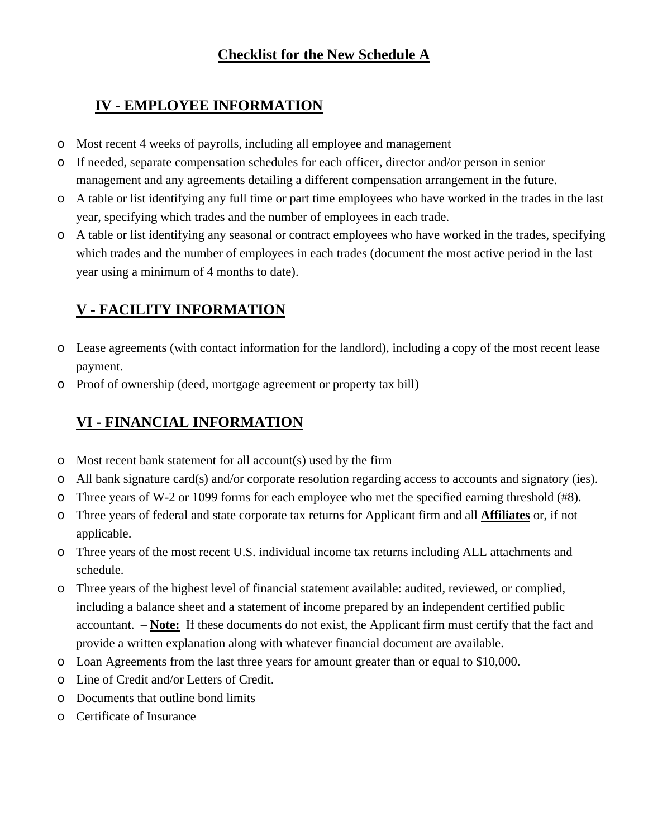# **Checklist for the New Schedule A**

### **IV - EMPLOYEE INFORMATION**

- o Most recent 4 weeks of payrolls, including all employee and management
- o If needed, separate compensation schedules for each officer, director and/or person in senior management and any agreements detailing a different compensation arrangement in the future.
- o A table or list identifying any full time or part time employees who have worked in the trades in the last year, specifying which trades and the number of employees in each trade.
- o A table or list identifying any seasonal or contract employees who have worked in the trades, specifying which trades and the number of employees in each trades (document the most active period in the last year using a minimum of 4 months to date).

# **V - FACILITY INFORMATION**

- o Lease agreements (with contact information for the landlord), including a copy of the most recent lease payment.
- o Proof of ownership (deed, mortgage agreement or property tax bill)

# **VI - FINANCIAL INFORMATION**

- o Most recent bank statement for all account(s) used by the firm
- o All bank signature card(s) and/or corporate resolution regarding access to accounts and signatory (ies).
- o Three years of W-2 or 1099 forms for each employee who met the specified earning threshold (#8).
- o Three years of federal and state corporate tax returns for Applicant firm and all **Affiliates** or, if not applicable.
- o Three years of the most recent U.S. individual income tax returns including ALL attachments and schedule.
- o Three years of the highest level of financial statement available: audited, reviewed, or complied, including a balance sheet and a statement of income prepared by an independent certified public accountant. – **Note:** If these documents do not exist, the Applicant firm must certify that the fact and provide a written explanation along with whatever financial document are available.
- o Loan Agreements from the last three years for amount greater than or equal to \$10,000.
- o Line of Credit and/or Letters of Credit.
- o Documents that outline bond limits
- o Certificate of Insurance